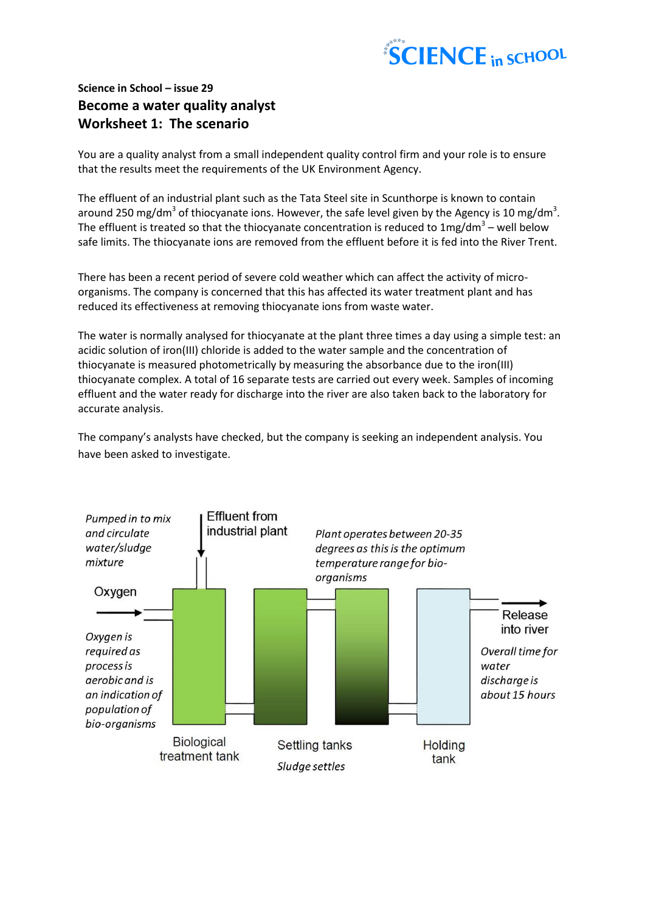

## **Science in School – issue 29 Become a water quality analyst Worksheet 1: The scenario**

You are a quality analyst from a small independent quality control firm and your role is to ensure that the results meet the requirements of the UK Environment Agency.

The effluent of an industrial plant such as the Tata Steel site in Scunthorpe is known to contain around 250 mg/dm<sup>3</sup> of thiocyanate ions. However, the safe level given by the Agency is 10 mg/dm<sup>3</sup>. The effluent is treated so that the thiocyanate concentration is reduced to  $1 \text{mg/dm}^3$  – well below safe limits. The thiocyanate ions are removed from the effluent before it is fed into the River Trent.

There has been a recent period of severe cold weather which can affect the activity of microorganisms. The company is concerned that this has affected its water treatment plant and has reduced its effectiveness at removing thiocyanate ions from waste water.

The water is normally analysed for thiocyanate at the plant three times a day using a simple test: an acidic solution of iron(III) chloride is added to the water sample and the concentration of thiocyanate is measured photometrically by measuring the absorbance due to the iron(III) thiocyanate complex. A total of 16 separate tests are carried out every week. Samples of incoming effluent and the water ready for discharge into the river are also taken back to the laboratory for accurate analysis.

The company's analysts have checked, but the company is seeking an independent analysis. You have been asked to investigate.